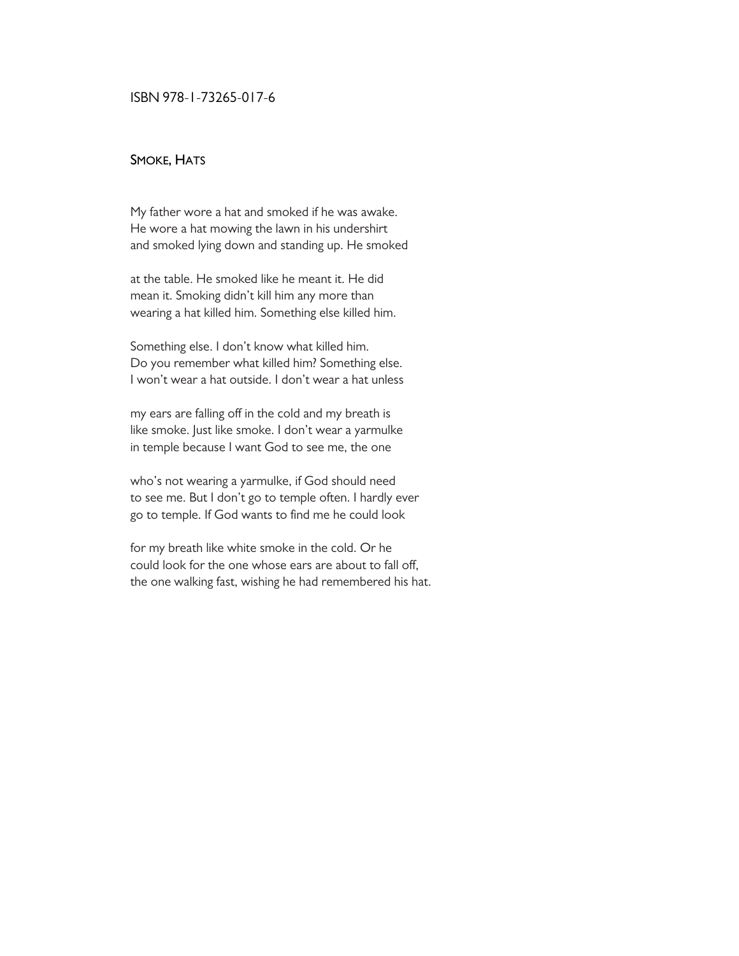#### SMOKE, HATS

My father wore a hat and smoked if he was awake. He wore a hat mowing the lawn in his undershirt and smoked lying down and standing up. He smoked

at the table. He smoked like he meant it. He did mean it. Smoking didn't kill him any more than wearing a hat killed him. Something else killed him.

Something else. I don't know what killed him. Do you remember what killed him? Something else. I won't wear a hat outside. I don't wear a hat unless

my ears are falling off in the cold and my breath is like smoke. Just like smoke. I don't wear a yarmulke in temple because I want God to see me, the one

who's not wearing a yarmulke, if God should need to see me. But I don't go to temple often. I hardly ever go to temple. If God wants to find me he could look

for my breath like white smoke in the cold. Or he could look for the one whose ears are about to fall off, the one walking fast, wishing he had remembered his hat.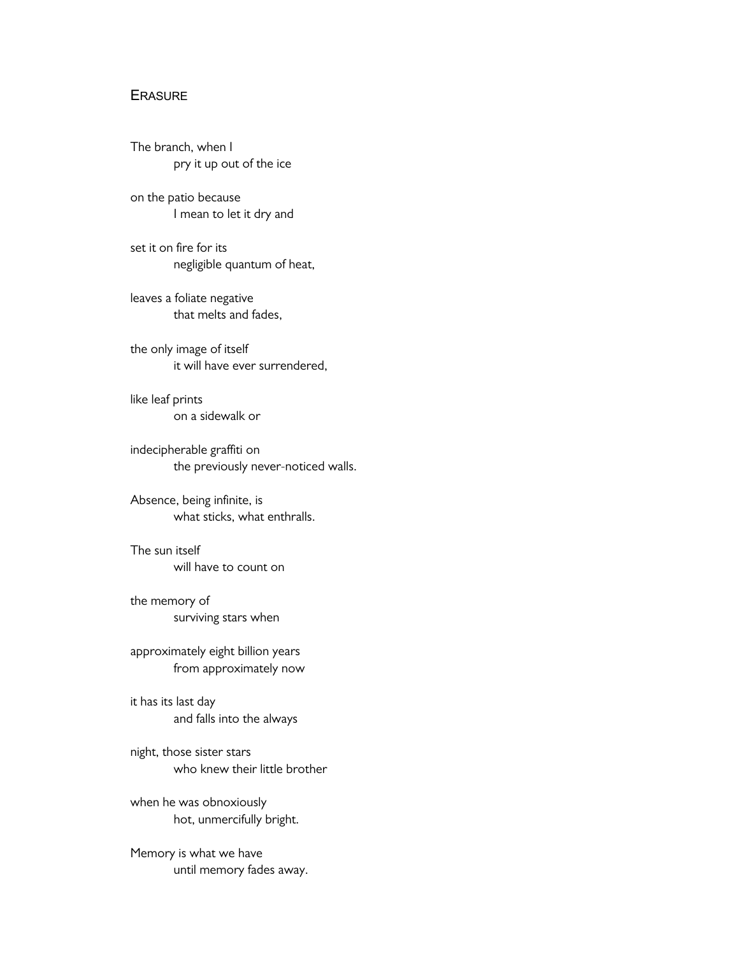## **ERASURE**

The branch, when I pry it up out of the ice

on the patio because I mean to let it dry and

set it on fire for its negligible quantum of heat,

leaves a foliate negative that melts and fades,

the only image of itself it will have ever surrendered,

like leaf prints on a sidewalk or

indecipherable graffiti on the previously never-noticed walls.

Absence, being infinite, is what sticks, what enthralls.

The sun itself will have to count on

the memory of surviving stars when

approximately eight billion years from approximately now

it has its last day and falls into the always

night, those sister stars who knew their little brother

when he was obnoxiously hot, unmercifully bright.

Memory is what we have until memory fades away.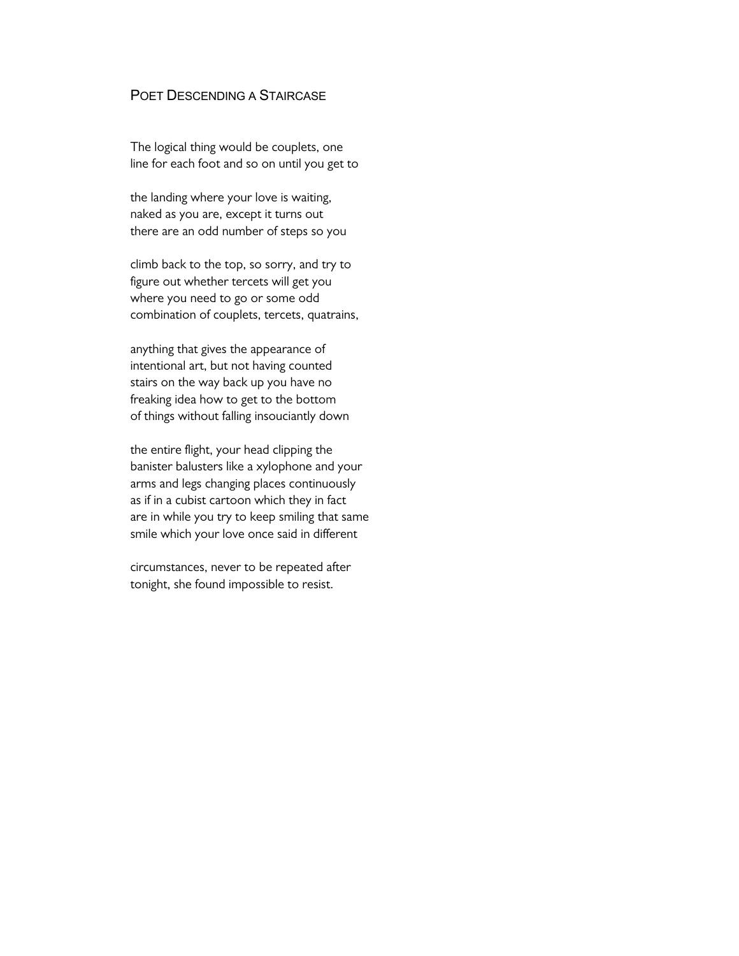## POET DESCENDING A STAIRCASE

The logical thing would be couplets, one line for each foot and so on until you get to

the landing where your love is waiting, naked as you are, except it turns out there are an odd number of steps so you

climb back to the top, so sorry, and try to figure out whether tercets will get you where you need to go or some odd combination of couplets, tercets, quatrains,

anything that gives the appearance of intentional art, but not having counted stairs on the way back up you have no freaking idea how to get to the bottom of things without falling insouciantly down

the entire flight, your head clipping the banister balusters like a xylophone and your arms and legs changing places continuously as if in a cubist cartoon which they in fact are in while you try to keep smiling that same smile which your love once said in different

circumstances, never to be repeated after tonight, she found impossible to resist.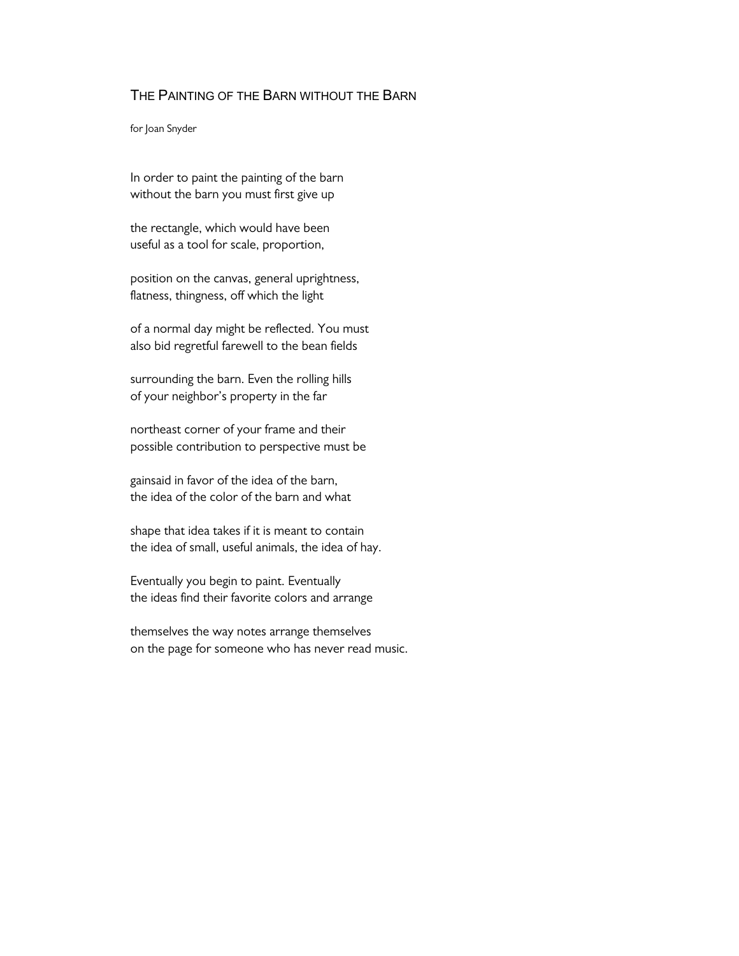## THE PAINTING OF THE BARN WITHOUT THE BARN

for Joan Snyder

In order to paint the painting of the barn without the barn you must first give up

the rectangle, which would have been useful as a tool for scale, proportion,

position on the canvas, general uprightness, flatness, thingness, off which the light

of a normal day might be reflected. You must also bid regretful farewell to the bean fields

surrounding the barn. Even the rolling hills of your neighbor's property in the far

northeast corner of your frame and their possible contribution to perspective must be

gainsaid in favor of the idea of the barn, the idea of the color of the barn and what

shape that idea takes if it is meant to contain the idea of small, useful animals, the idea of hay.

Eventually you begin to paint. Eventually the ideas find their favorite colors and arrange

themselves the way notes arrange themselves on the page for someone who has never read music.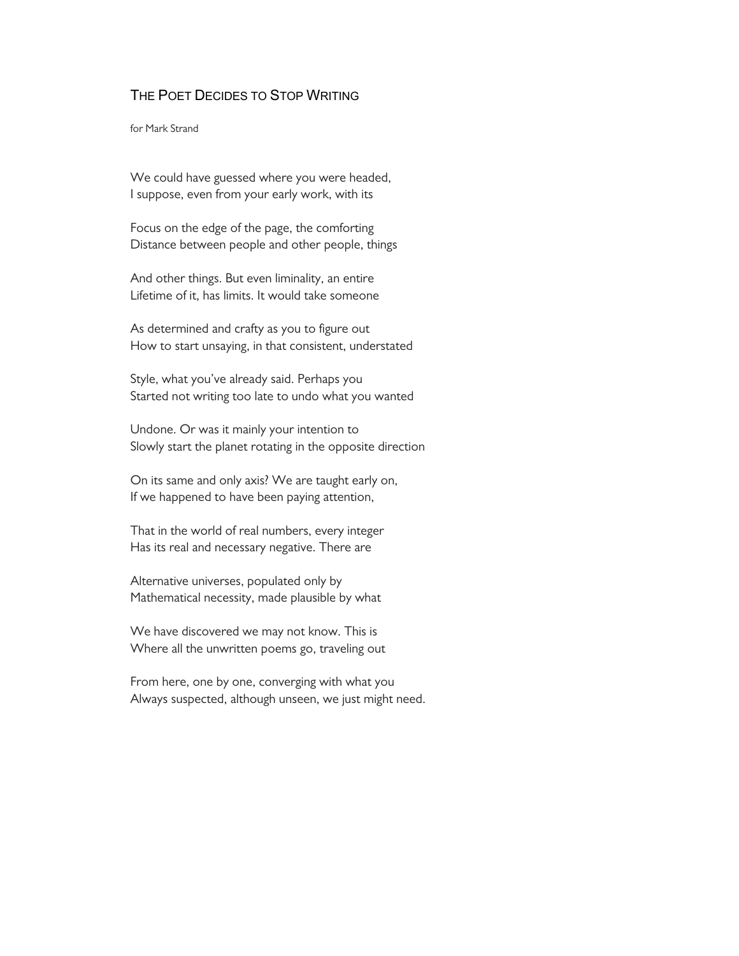## THE POET DECIDES TO STOP WRITING

for Mark Strand

We could have guessed where you were headed, I suppose, even from your early work, with its

Focus on the edge of the page, the comforting Distance between people and other people, things

And other things. But even liminality, an entire Lifetime of it, has limits. It would take someone

As determined and crafty as you to figure out How to start unsaying, in that consistent, understated

Style, what you've already said. Perhaps you Started not writing too late to undo what you wanted

Undone. Or was it mainly your intention to Slowly start the planet rotating in the opposite direction

On its same and only axis? We are taught early on, If we happened to have been paying attention,

That in the world of real numbers, every integer Has its real and necessary negative. There are

Alternative universes, populated only by Mathematical necessity, made plausible by what

We have discovered we may not know. This is Where all the unwritten poems go, traveling out

From here, one by one, converging with what you Always suspected, although unseen, we just might need.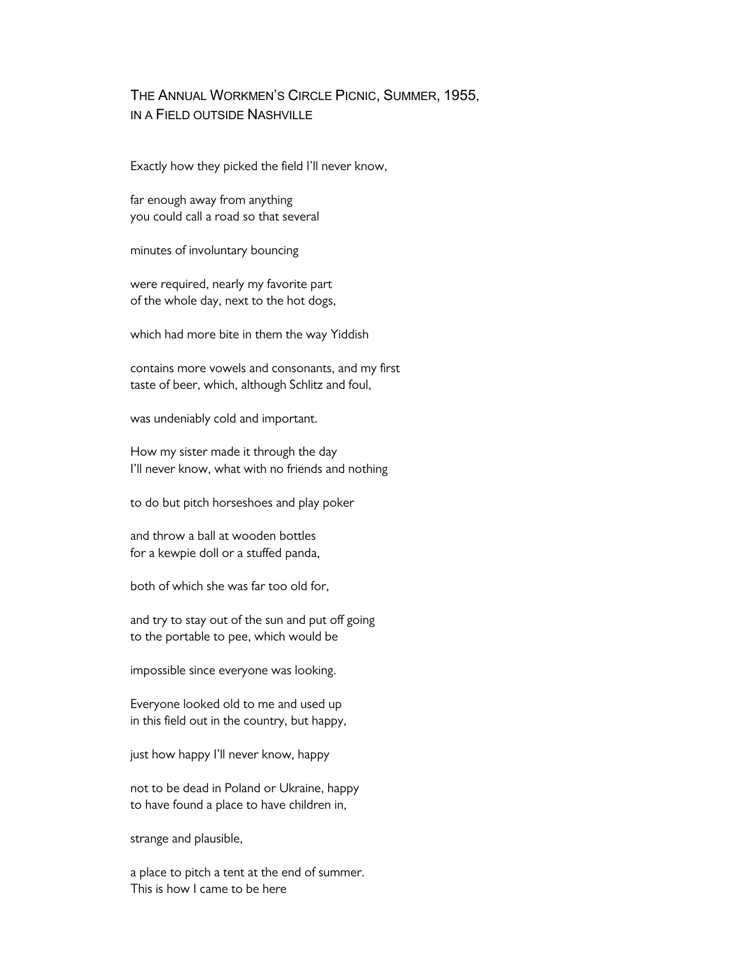## THE ANNUAL WORKMEN'S CIRCLE PICNIC, SUMMER, 1955, IN A FIELD OUTSIDE NASHVILLE

Exactly how they picked the field I'll never know,

far enough away from anything you could call a road so that several

minutes of involuntary bouncing

were required, nearly my favorite part of the whole day, next to the hot dogs,

which had more bite in them the way Yiddish

contains more vowels and consonants, and my first taste of beer, which, although Schlitz and foul,

was undeniably cold and important.

How my sister made it through the day I'll never know, what with no friends and nothing

to do but pitch horseshoes and play poker

and throw a ball at wooden bottles for a kewpie doll or a stuffed panda,

both of which she was far too old for,

and try to stay out of the sun and put off going to the portable to pee, which would be

impossible since everyone was looking.

Everyone looked old to me and used up in this field out in the country, but happy,

just how happy I'll never know, happy

not to be dead in Poland or Ukraine, happy to have found a place to have children in,

strange and plausible,

a place to pitch a tent at the end of summer. This is how I came to be here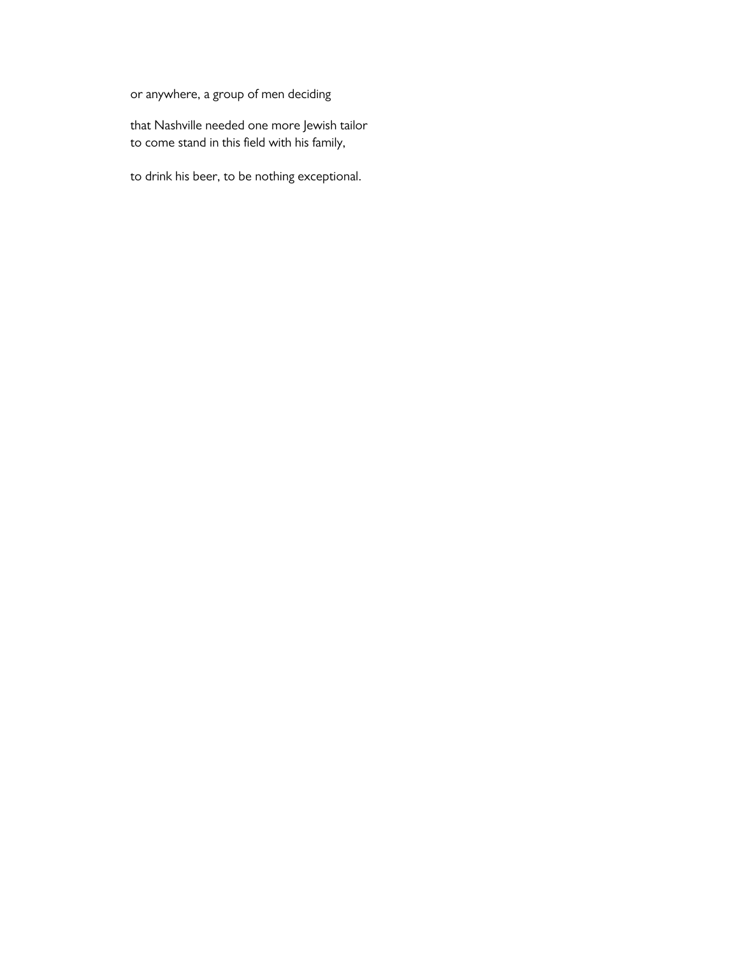or anywhere, a group of men deciding

that Nashville needed one more Jewish tailor to come stand in this field with his family,

to drink his beer, to be nothing exceptional.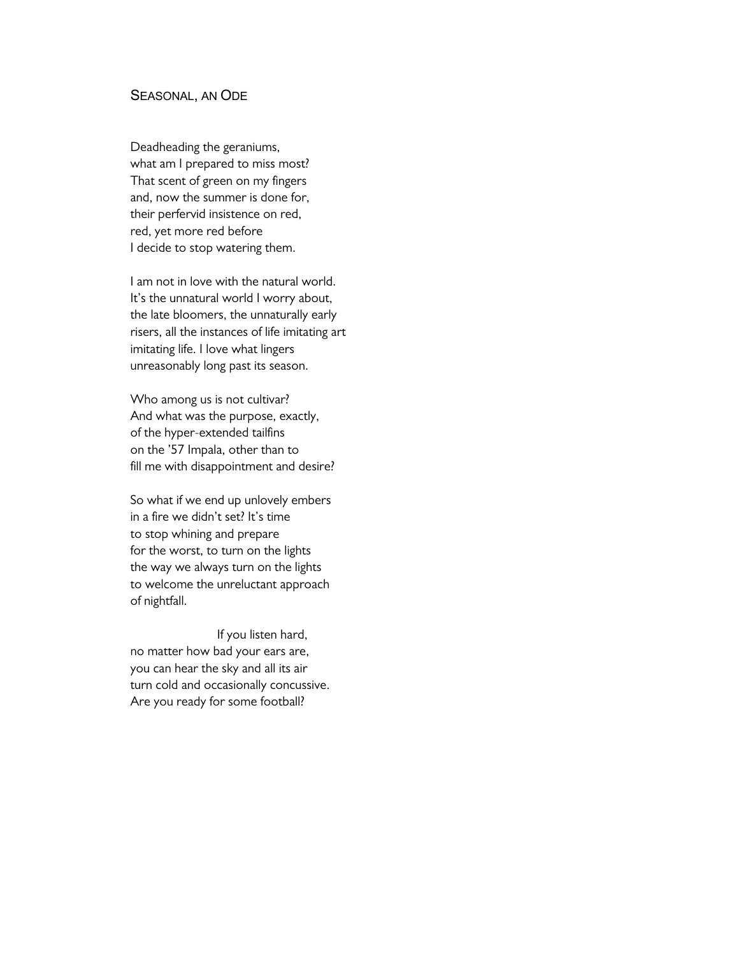#### SEASONAL, AN ODE

Deadheading the geraniums, what am I prepared to miss most? That scent of green on my fingers and, now the summer is done for, their perfervid insistence on red, red, yet more red before I decide to stop watering them.

I am not in love with the natural world. It's the unnatural world I worry about, the late bloomers, the unnaturally early risers, all the instances of life imitating art imitating life. I love what lingers unreasonably long past its season.

Who among us is not cultivar? And what was the purpose, exactly, of the hyper-extended tailfins on the '57 Impala, other than to fill me with disappointment and desire?

So what if we end up unlovely embers in a fire we didn't set? It's time to stop whining and prepare for the worst, to turn on the lights the way we always turn on the lights to welcome the unreluctant approach of nightfall.

If you listen hard, no matter how bad your ears are, you can hear the sky and all its air turn cold and occasionally concussive. Are you ready for some football?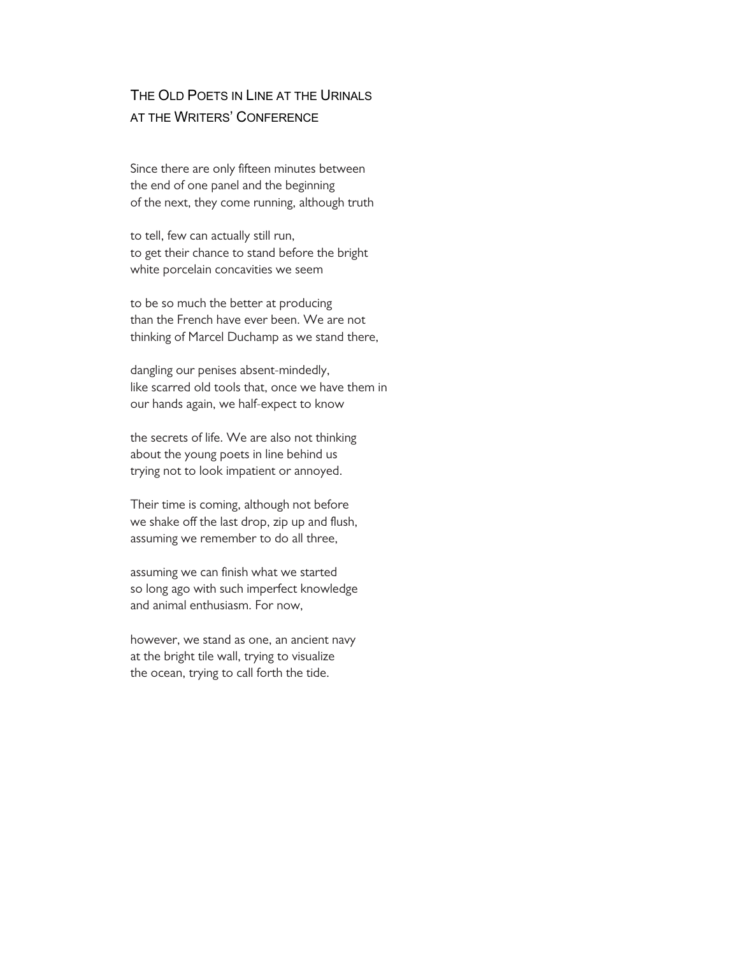# THE OLD POETS IN LINE AT THE URINALS AT THE WRITERS' CONFERENCE

Since there are only fifteen minutes between the end of one panel and the beginning of the next, they come running, although truth

to tell, few can actually still run, to get their chance to stand before the bright white porcelain concavities we seem

to be so much the better at producing than the French have ever been. We are not thinking of Marcel Duchamp as we stand there,

dangling our penises absent-mindedly, like scarred old tools that, once we have them in our hands again, we half-expect to know

the secrets of life. We are also not thinking about the young poets in line behind us trying not to look impatient or annoyed.

Their time is coming, although not before we shake off the last drop, zip up and flush, assuming we remember to do all three,

assuming we can finish what we started so long ago with such imperfect knowledge and animal enthusiasm. For now,

however, we stand as one, an ancient navy at the bright tile wall, trying to visualize the ocean, trying to call forth the tide.